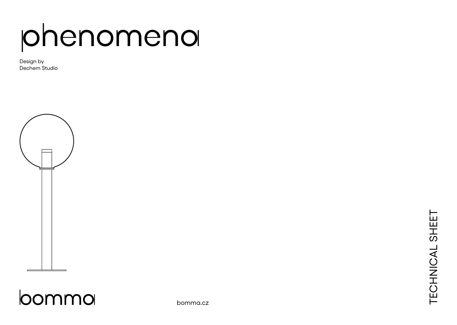# phenomena

Design by Dechem Studio





bomma.cz